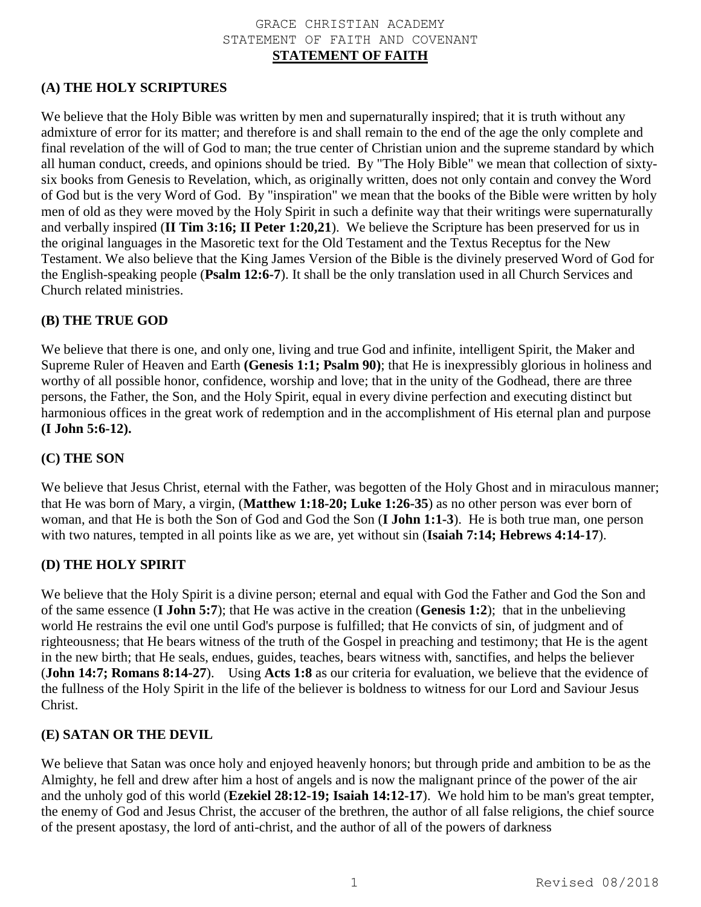#### GRACE CHRISTIAN ACADEMY STATEMENT OF FAITH AND COVENANT **STATEMENT OF FAITH**

## **(A) THE HOLY SCRIPTURES**

We believe that the Holy Bible was written by men and supernaturally inspired; that it is truth without any admixture of error for its matter; and therefore is and shall remain to the end of the age the only complete and final revelation of the will of God to man; the true center of Christian union and the supreme standard by which all human conduct, creeds, and opinions should be tried. By "The Holy Bible" we mean that collection of sixtysix books from Genesis to Revelation, which, as originally written, does not only contain and convey the Word of God but is the very Word of God. By "inspiration" we mean that the books of the Bible were written by holy men of old as they were moved by the Holy Spirit in such a definite way that their writings were supernaturally and verbally inspired (**II Tim 3:16; II Peter 1:20,21**). We believe the Scripture has been preserved for us in the original languages in the Masoretic text for the Old Testament and the Textus Receptus for the New Testament. We also believe that the King James Version of the Bible is the divinely preserved Word of God for the English-speaking people (**Psalm 12:6-7**). It shall be the only translation used in all Church Services and Church related ministries.

#### **(B) THE TRUE GOD**

We believe that there is one, and only one, living and true God and infinite, intelligent Spirit, the Maker and Supreme Ruler of Heaven and Earth **(Genesis 1:1; Psalm 90)**; that He is inexpressibly glorious in holiness and worthy of all possible honor, confidence, worship and love; that in the unity of the Godhead, there are three persons, the Father, the Son, and the Holy Spirit, equal in every divine perfection and executing distinct but harmonious offices in the great work of redemption and in the accomplishment of His eternal plan and purpose **(I John 5:6-12).**

#### **(C) THE SON**

We believe that Jesus Christ, eternal with the Father, was begotten of the Holy Ghost and in miraculous manner; that He was born of Mary, a virgin, (**Matthew 1:18-20; Luke 1:26-35**) as no other person was ever born of woman, and that He is both the Son of God and God the Son (**I John 1:1-3**). He is both true man, one person with two natures, tempted in all points like as we are, yet without sin (**Isaiah 7:14; Hebrews 4:14-17**).

#### **(D) THE HOLY SPIRIT**

We believe that the Holy Spirit is a divine person; eternal and equal with God the Father and God the Son and of the same essence (**I John 5:7**); that He was active in the creation (**Genesis 1:2**); that in the unbelieving world He restrains the evil one until God's purpose is fulfilled; that He convicts of sin, of judgment and of righteousness; that He bears witness of the truth of the Gospel in preaching and testimony; that He is the agent in the new birth; that He seals, endues, guides, teaches, bears witness with, sanctifies, and helps the believer (**John 14:7; Romans 8:14-27**). Using **Acts 1:8** as our criteria for evaluation, we believe that the evidence of the fullness of the Holy Spirit in the life of the believer is boldness to witness for our Lord and Saviour Jesus Christ.

#### **(E) SATAN OR THE DEVIL**

We believe that Satan was once holy and enjoyed heavenly honors; but through pride and ambition to be as the Almighty, he fell and drew after him a host of angels and is now the malignant prince of the power of the air and the unholy god of this world (**Ezekiel 28:12-19; Isaiah 14:12-17**). We hold him to be man's great tempter, the enemy of God and Jesus Christ, the accuser of the brethren, the author of all false religions, the chief source of the present apostasy, the lord of anti-christ, and the author of all of the powers of darkness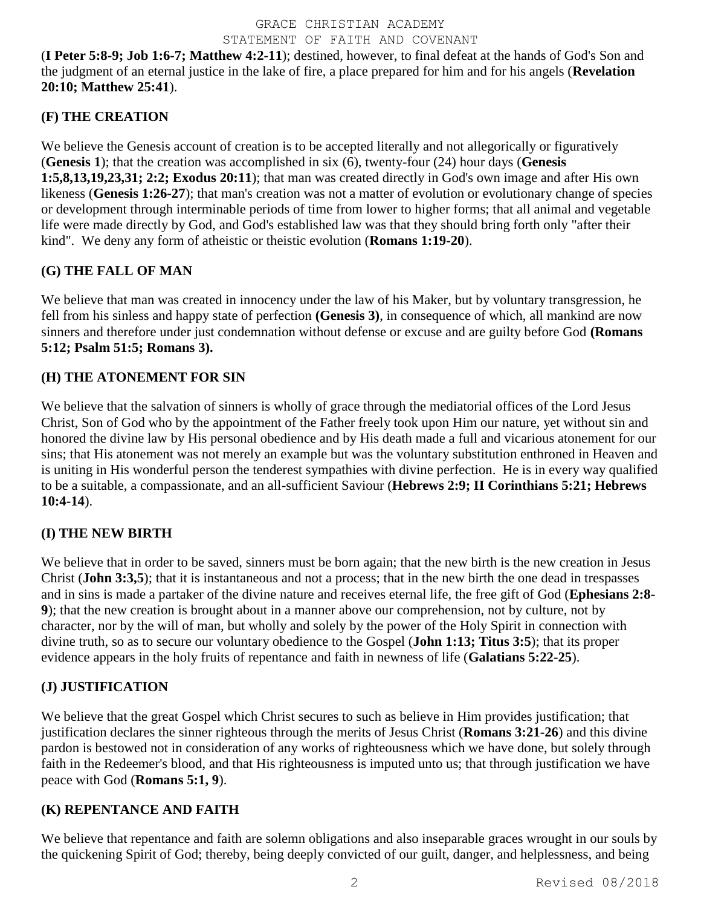(**I Peter 5:8-9; Job 1:6-7; Matthew 4:2-11**); destined, however, to final defeat at the hands of God's Son and the judgment of an eternal justice in the lake of fire, a place prepared for him and for his angels (**Revelation 20:10; Matthew 25:41**).

# **(F) THE CREATION**

We believe the Genesis account of creation is to be accepted literally and not allegorically or figuratively (**Genesis 1**); that the creation was accomplished in six (6), twenty-four (24) hour days (**Genesis 1:5,8,13,19,23,31; 2:2; Exodus 20:11**); that man was created directly in God's own image and after His own likeness (**Genesis 1:26-27**); that man's creation was not a matter of evolution or evolutionary change of species or development through interminable periods of time from lower to higher forms; that all animal and vegetable life were made directly by God, and God's established law was that they should bring forth only "after their kind". We deny any form of atheistic or theistic evolution (**Romans 1:19-20**).

## **(G) THE FALL OF MAN**

We believe that man was created in innocency under the law of his Maker, but by voluntary transgression, he fell from his sinless and happy state of perfection **(Genesis 3)**, in consequence of which, all mankind are now sinners and therefore under just condemnation without defense or excuse and are guilty before God **(Romans 5:12; Psalm 51:5; Romans 3).**

## **(H) THE ATONEMENT FOR SIN**

We believe that the salvation of sinners is wholly of grace through the mediatorial offices of the Lord Jesus Christ, Son of God who by the appointment of the Father freely took upon Him our nature, yet without sin and honored the divine law by His personal obedience and by His death made a full and vicarious atonement for our sins; that His atonement was not merely an example but was the voluntary substitution enthroned in Heaven and is uniting in His wonderful person the tenderest sympathies with divine perfection. He is in every way qualified to be a suitable, a compassionate, and an all-sufficient Saviour (**Hebrews 2:9; II Corinthians 5:21; Hebrews 10:4-14**).

## **(I) THE NEW BIRTH**

We believe that in order to be saved, sinners must be born again; that the new birth is the new creation in Jesus Christ (**John 3:3,5**); that it is instantaneous and not a process; that in the new birth the one dead in trespasses and in sins is made a partaker of the divine nature and receives eternal life, the free gift of God (**Ephesians 2:8- 9**); that the new creation is brought about in a manner above our comprehension, not by culture, not by character, nor by the will of man, but wholly and solely by the power of the Holy Spirit in connection with divine truth, so as to secure our voluntary obedience to the Gospel (**John 1:13; Titus 3:5**); that its proper evidence appears in the holy fruits of repentance and faith in newness of life (**Galatians 5:22-25**).

# **(J) JUSTIFICATION**

We believe that the great Gospel which Christ secures to such as believe in Him provides justification; that justification declares the sinner righteous through the merits of Jesus Christ (**Romans 3:21-26**) and this divine pardon is bestowed not in consideration of any works of righteousness which we have done, but solely through faith in the Redeemer's blood, and that His righteousness is imputed unto us; that through justification we have peace with God (**Romans 5:1, 9**).

## **(K) REPENTANCE AND FAITH**

We believe that repentance and faith are solemn obligations and also inseparable graces wrought in our souls by the quickening Spirit of God; thereby, being deeply convicted of our guilt, danger, and helplessness, and being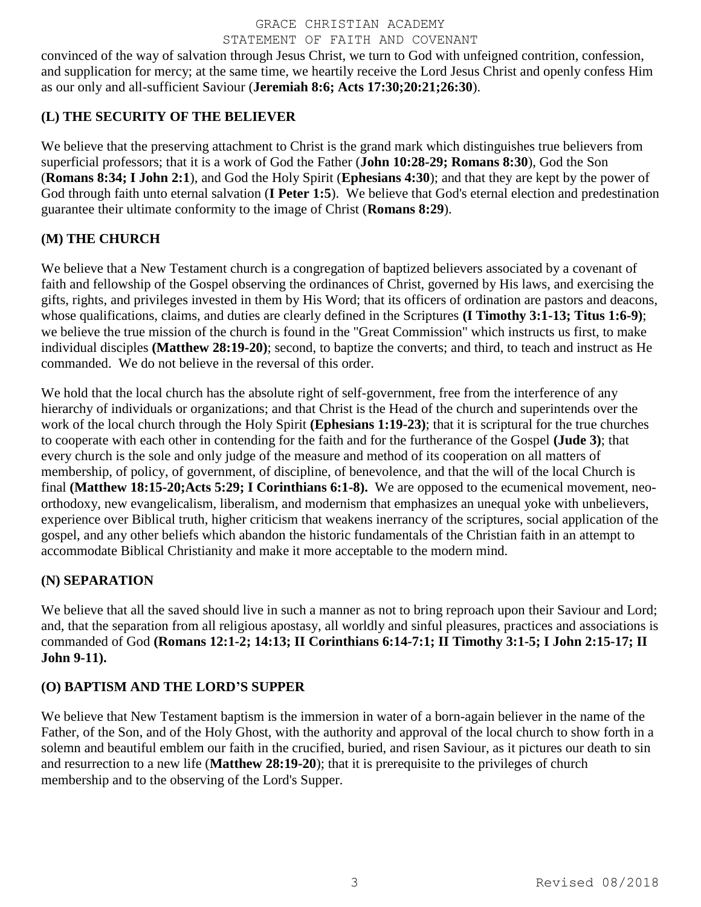convinced of the way of salvation through Jesus Christ, we turn to God with unfeigned contrition, confession, and supplication for mercy; at the same time, we heartily receive the Lord Jesus Christ and openly confess Him as our only and all-sufficient Saviour (**Jeremiah 8:6; Acts 17:30;20:21;26:30**).

# **(L) THE SECURITY OF THE BELIEVER**

We believe that the preserving attachment to Christ is the grand mark which distinguishes true believers from superficial professors; that it is a work of God the Father (**John 10:28-29; Romans 8:30**), God the Son (**Romans 8:34; I John 2:1**), and God the Holy Spirit (**Ephesians 4:30**); and that they are kept by the power of God through faith unto eternal salvation (**I Peter 1:5**). We believe that God's eternal election and predestination guarantee their ultimate conformity to the image of Christ (**Romans 8:29**).

# **(M) THE CHURCH**

We believe that a New Testament church is a congregation of baptized believers associated by a covenant of faith and fellowship of the Gospel observing the ordinances of Christ, governed by His laws, and exercising the gifts, rights, and privileges invested in them by His Word; that its officers of ordination are pastors and deacons, whose qualifications, claims, and duties are clearly defined in the Scriptures **(I Timothy 3:1-13; Titus 1:6-9**); we believe the true mission of the church is found in the "Great Commission" which instructs us first, to make individual disciples **(Matthew 28:19-20)**; second, to baptize the converts; and third, to teach and instruct as He commanded. We do not believe in the reversal of this order.

We hold that the local church has the absolute right of self-government, free from the interference of any hierarchy of individuals or organizations; and that Christ is the Head of the church and superintends over the work of the local church through the Holy Spirit **(Ephesians 1:19-23)**; that it is scriptural for the true churches to cooperate with each other in contending for the faith and for the furtherance of the Gospel **(Jude 3)**; that every church is the sole and only judge of the measure and method of its cooperation on all matters of membership, of policy, of government, of discipline, of benevolence, and that the will of the local Church is final **(Matthew 18:15-20;Acts 5:29; I Corinthians 6:1-8).** We are opposed to the ecumenical movement, neoorthodoxy, new evangelicalism, liberalism, and modernism that emphasizes an unequal yoke with unbelievers, experience over Biblical truth, higher criticism that weakens inerrancy of the scriptures, social application of the gospel, and any other beliefs which abandon the historic fundamentals of the Christian faith in an attempt to accommodate Biblical Christianity and make it more acceptable to the modern mind.

# **(N) SEPARATION**

We believe that all the saved should live in such a manner as not to bring reproach upon their Saviour and Lord; and, that the separation from all religious apostasy, all worldly and sinful pleasures, practices and associations is commanded of God **(Romans 12:1-2; 14:13; II Corinthians 6:14-7:1; II Timothy 3:1-5; I John 2:15-17; II John 9-11).**

# **(O) BAPTISM AND THE LORD'S SUPPER**

We believe that New Testament baptism is the immersion in water of a born-again believer in the name of the Father, of the Son, and of the Holy Ghost, with the authority and approval of the local church to show forth in a solemn and beautiful emblem our faith in the crucified, buried, and risen Saviour, as it pictures our death to sin and resurrection to a new life (**Matthew 28:19-20**); that it is prerequisite to the privileges of church membership and to the observing of the Lord's Supper.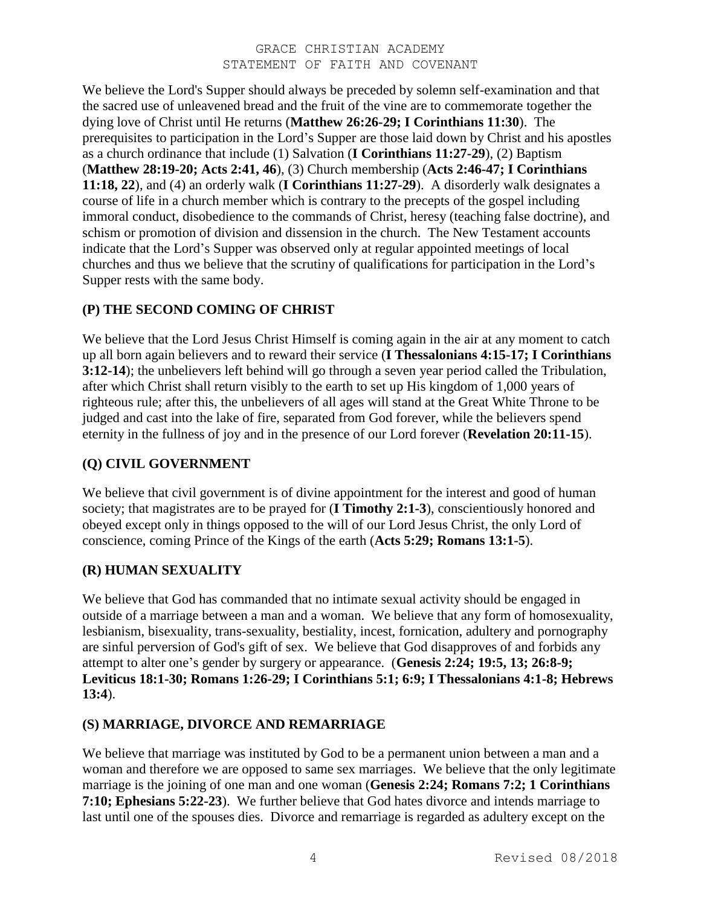We believe the Lord's Supper should always be preceded by solemn self-examination and that the sacred use of unleavened bread and the fruit of the vine are to commemorate together the dying love of Christ until He returns (**Matthew 26:26-29; I Corinthians 11:30**). The prerequisites to participation in the Lord's Supper are those laid down by Christ and his apostles as a church ordinance that include (1) Salvation (**I Corinthians 11:27-29**), (2) Baptism (**Matthew 28:19-20; Acts 2:41, 46**), (3) Church membership (**Acts 2:46-47; I Corinthians 11:18, 22**), and (4) an orderly walk (**I Corinthians 11:27-29**). A disorderly walk designates a course of life in a church member which is contrary to the precepts of the gospel including immoral conduct, disobedience to the commands of Christ, heresy (teaching false doctrine), and schism or promotion of division and dissension in the church. The New Testament accounts indicate that the Lord's Supper was observed only at regular appointed meetings of local churches and thus we believe that the scrutiny of qualifications for participation in the Lord's Supper rests with the same body.

## **(P) THE SECOND COMING OF CHRIST**

We believe that the Lord Jesus Christ Himself is coming again in the air at any moment to catch up all born again believers and to reward their service (**I Thessalonians 4:15-17; I Corinthians 3:12-14**); the unbelievers left behind will go through a seven year period called the Tribulation, after which Christ shall return visibly to the earth to set up His kingdom of 1,000 years of righteous rule; after this, the unbelievers of all ages will stand at the Great White Throne to be judged and cast into the lake of fire, separated from God forever, while the believers spend eternity in the fullness of joy and in the presence of our Lord forever (**Revelation 20:11-15**).

## **(Q) CIVIL GOVERNMENT**

We believe that civil government is of divine appointment for the interest and good of human society; that magistrates are to be prayed for (**I Timothy 2:1-3**), conscientiously honored and obeyed except only in things opposed to the will of our Lord Jesus Christ, the only Lord of conscience, coming Prince of the Kings of the earth (**Acts 5:29; Romans 13:1-5**).

## **(R) HUMAN SEXUALITY**

We believe that God has commanded that no intimate sexual activity should be engaged in outside of a marriage between a man and a woman. We believe that any form of homosexuality, lesbianism, bisexuality, trans-sexuality, bestiality, incest, fornication, adultery and pornography are sinful perversion of God's gift of sex. We believe that God disapproves of and forbids any attempt to alter one's gender by surgery or appearance. (**Genesis 2:24; 19:5, 13; 26:8-9; Leviticus 18:1-30; Romans 1:26-29; I Corinthians 5:1; 6:9; I Thessalonians 4:1-8; Hebrews 13:4**).

## **(S) MARRIAGE, DIVORCE AND REMARRIAGE**

We believe that marriage was instituted by God to be a permanent union between a man and a woman and therefore we are opposed to same sex marriages. We believe that the only legitimate marriage is the joining of one man and one woman (**Genesis 2:24; Romans 7:2; 1 Corinthians 7:10; Ephesians 5:22-23**). We further believe that God hates divorce and intends marriage to last until one of the spouses dies. Divorce and remarriage is regarded as adultery except on the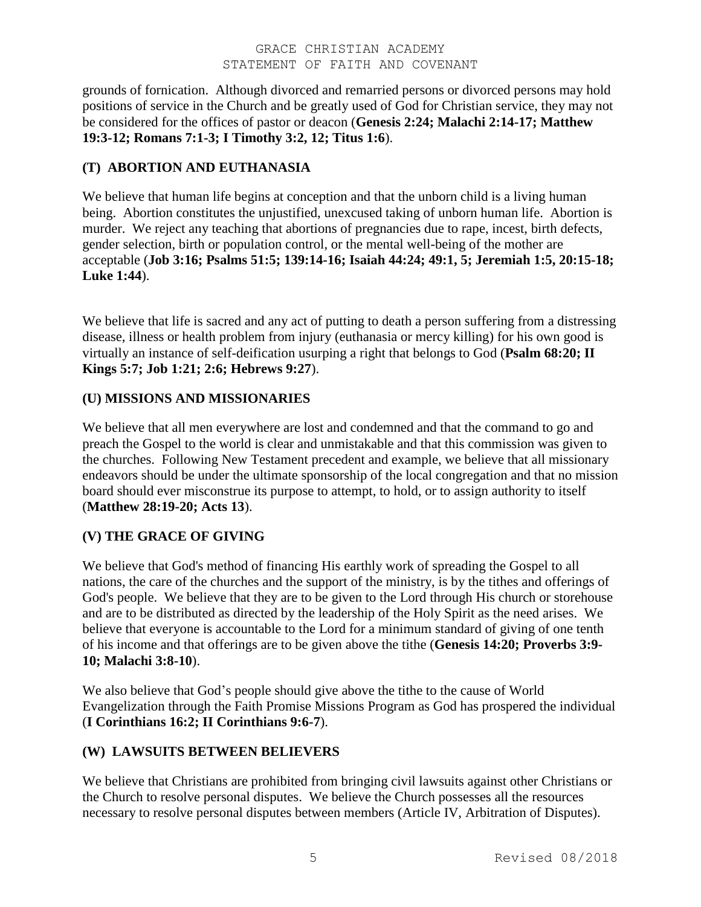grounds of fornication. Although divorced and remarried persons or divorced persons may hold positions of service in the Church and be greatly used of God for Christian service, they may not be considered for the offices of pastor or deacon (**Genesis 2:24; Malachi 2:14-17; Matthew 19:3-12; Romans 7:1-3; I Timothy 3:2, 12; Titus 1:6**).

## **(T) ABORTION AND EUTHANASIA**

We believe that human life begins at conception and that the unborn child is a living human being. Abortion constitutes the unjustified, unexcused taking of unborn human life. Abortion is murder. We reject any teaching that abortions of pregnancies due to rape, incest, birth defects, gender selection, birth or population control, or the mental well-being of the mother are acceptable (**Job 3:16; Psalms 51:5; 139:14-16; Isaiah 44:24; 49:1, 5; Jeremiah 1:5, 20:15-18; Luke 1:44**).

We believe that life is sacred and any act of putting to death a person suffering from a distressing disease, illness or health problem from injury (euthanasia or mercy killing) for his own good is virtually an instance of self-deification usurping a right that belongs to God (**Psalm 68:20; II Kings 5:7; Job 1:21; 2:6; Hebrews 9:27**).

## **(U) MISSIONS AND MISSIONARIES**

We believe that all men everywhere are lost and condemned and that the command to go and preach the Gospel to the world is clear and unmistakable and that this commission was given to the churches. Following New Testament precedent and example, we believe that all missionary endeavors should be under the ultimate sponsorship of the local congregation and that no mission board should ever misconstrue its purpose to attempt, to hold, or to assign authority to itself (**Matthew 28:19-20; Acts 13**).

# **(V) THE GRACE OF GIVING**

We believe that God's method of financing His earthly work of spreading the Gospel to all nations, the care of the churches and the support of the ministry, is by the tithes and offerings of God's people. We believe that they are to be given to the Lord through His church or storehouse and are to be distributed as directed by the leadership of the Holy Spirit as the need arises. We believe that everyone is accountable to the Lord for a minimum standard of giving of one tenth of his income and that offerings are to be given above the tithe (**Genesis 14:20; Proverbs 3:9- 10; Malachi 3:8-10**).

We also believe that God's people should give above the tithe to the cause of World Evangelization through the Faith Promise Missions Program as God has prospered the individual (**I Corinthians 16:2; II Corinthians 9:6-7**).

# **(W) LAWSUITS BETWEEN BELIEVERS**

We believe that Christians are prohibited from bringing civil lawsuits against other Christians or the Church to resolve personal disputes. We believe the Church possesses all the resources necessary to resolve personal disputes between members (Article IV, Arbitration of Disputes).